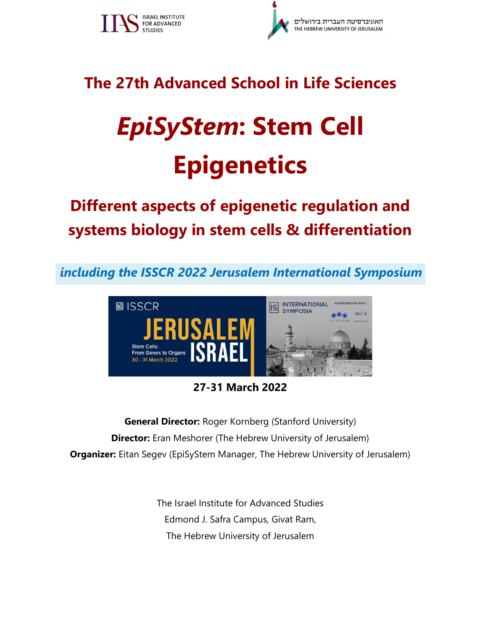



# **The 27th Advanced School in Life Sciences**

# *EpiSyStem***: Stem Cell Epigenetics**

# **Different aspects of epigenetic regulation and systems biology in stem cells & differentiation**

*including the ISSCR 2022 Jerusalem International Symposium*



# **27-31 March 2022**

**General Director:** Roger Kornberg (Stanford University) **Director:** Eran Meshorer (The Hebrew University of Jerusalem) **Organizer:** Eitan Segev (EpiSyStem Manager, The Hebrew University of Jerusalem)

> The Israel Institute for Advanced Studies Edmond J. Safra Campus, Givat Ram, The Hebrew University of Jerusalem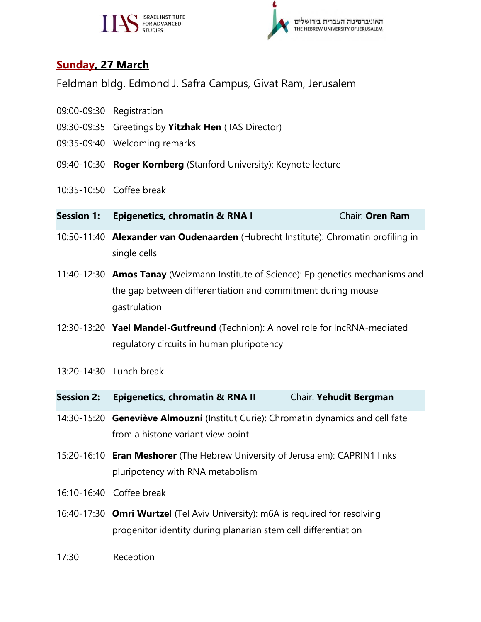



### **Sunday, 27 March**

Feldman bldg. Edmond J. Safra Campus, Givat Ram, Jerusalem

- 09:00-09:30 Registration
- 09:30-09:35 Greetings by **Yitzhak Hen** (IIAS Director)
- 09:35-09:40 Welcoming remarks
- 09:40-10:30 **Roger Kornberg** (Stanford University): Keynote lecture
- 10:35-10:50 Coffee break
- **Session 1: Epigenetics, chromatin & RNA I** Chair: Oren Ram
- 10:50-11:40 **Alexander van Oudenaarden** (Hubrecht Institute): Chromatin profiling in single cells
- 11:40-12:30 **Amos Tanay** (Weizmann Institute of Science): Epigenetics mechanisms and the gap between differentiation and commitment during mouse gastrulation
- 12:30-13:20 **Yael Mandel-Gutfreund** (Technion): A novel role for lncRNA-mediated regulatory circuits in human pluripotency
- 13:20-14:30 Lunch break

| <b>Session 2:</b> | <b>Epigenetics, chromatin &amp; RNA II</b> | Chair: Yehudit Bergman |
|-------------------|--------------------------------------------|------------------------|
|-------------------|--------------------------------------------|------------------------|

- 14:30-15:20 **Geneviève Almouzni** (Institut Curie): Chromatin dynamics and cell fate from a histone variant view point
- 15:20-16:10 **Eran Meshorer** (The Hebrew University of Jerusalem): CAPRIN1 links pluripotency with RNA metabolism
- 16:10-16:40 Coffee break
- 16:40-17:30 **Omri Wurtzel** (Tel Aviv University): m6A is required for resolving progenitor identity during planarian stem cell differentiation
- 17:30 Reception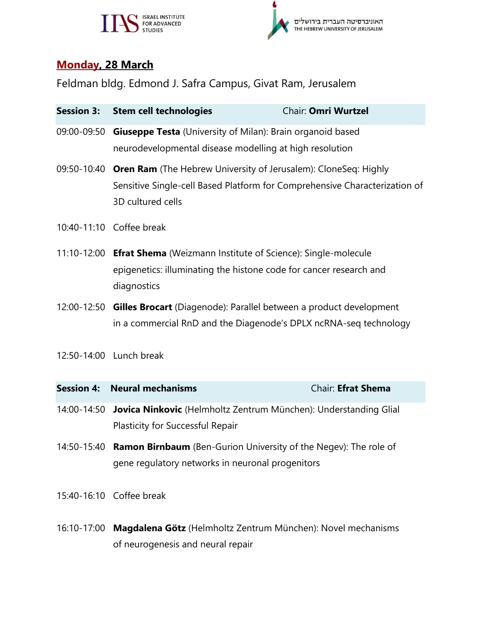# SPOR ADVANCED



## **Monday, 28 March**

Feldman bldg. Edmond J. Safra Campus, Givat Ram, Jerusalem

| <b>Session 3:</b> | <b>Stem cell technologies</b>                                                                                                                                                  | Chair: Omri Wurtzel |  |
|-------------------|--------------------------------------------------------------------------------------------------------------------------------------------------------------------------------|---------------------|--|
| 09:00-09:50       | Giuseppe Testa (University of Milan): Brain organoid based<br>neurodevelopmental disease modelling at high resolution                                                          |                     |  |
|                   | 09:50-10:40 Oren Ram (The Hebrew University of Jerusalem): CloneSeq: Highly<br>Sensitive Single-cell Based Platform for Comprehensive Characterization of<br>3D cultured cells |                     |  |
|                   | 10:40-11:10 Coffee break                                                                                                                                                       |                     |  |
|                   | 11:10-12:00 Efrat Shema (Weizmann Institute of Science): Single-molecule<br>epigenetics: illuminating the histone code for cancer research and<br>diagnostics                  |                     |  |
|                   | 12:00-12:50 Gilles Brocart (Diagenode): Parallel between a product development<br>in a commercial RnD and the Diagenode's DPLX ncRNA-seq technology                            |                     |  |
|                   | 12:50-14:00 Lunch break                                                                                                                                                        |                     |  |
| <b>Session 4:</b> | <b>Neural mechanisms</b>                                                                                                                                                       | Chair: Efrat Shema  |  |
|                   | 14:00-14:50 Jovica Ninkovic (Helmholtz Zentrum München): Understanding Glial<br>Plasticity for Successful Repair                                                               |                     |  |
| 14:50-15:40       | <b>Ramon Birnbaum</b> (Ben-Gurion University of the Negev): The role of<br>gene regulatory networks in neuronal progenitors                                                    |                     |  |
|                   | 15:40-16:10 Coffee break                                                                                                                                                       |                     |  |

16:10-17:00 **Magdalena Götz** (Helmholtz Zentrum München): Novel mechanisms of neurogenesis and neural repair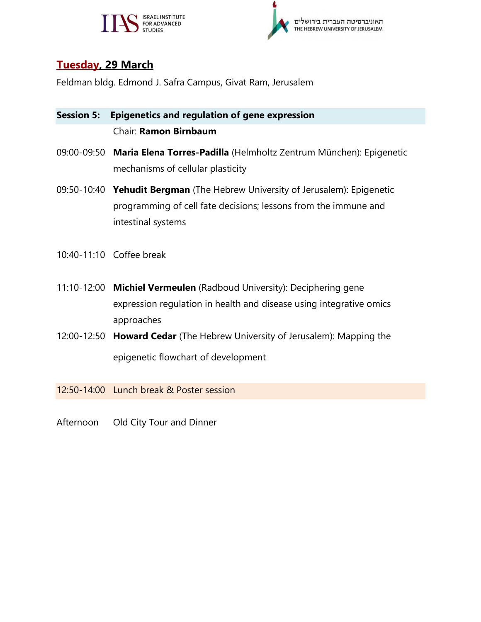



### **Tuesday, 29 March**

Feldman bldg. Edmond J. Safra Campus, Givat Ram, Jerusalem

### **Session 5: Epigenetics and regulation of gene expression** Chair: **Ramon Birnbaum**

- 09:00-09:50 **Maria Elena Torres-Padilla** (Helmholtz Zentrum München): Epigenetic mechanisms of cellular plasticity
- 09:50-10:40 **Yehudit Bergman** (The Hebrew University of Jerusalem): Epigenetic programming of cell fate decisions; lessons from the immune and intestinal systems
- 10:40-11:10 Coffee break
- 11:10-12:00 **Michiel Vermeulen** (Radboud University): Deciphering gene expression regulation in health and disease using integrative omics approaches
- 12:00-12:50 **Howard Cedar** (The Hebrew University of Jerusalem): Mapping the epigenetic flowchart of development

12:50-14:00 Lunch break & Poster session

Afternoon Old City Tour and Dinner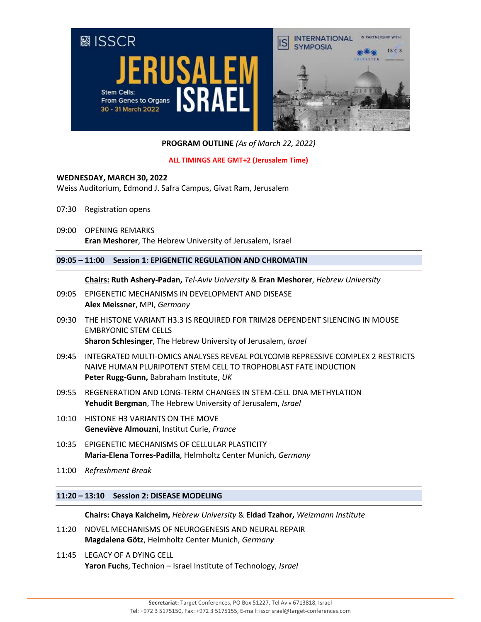

**PROGRAM OUTLINE** *(As of March 22, 2022)*

#### **ALL TIMINGS ARE GMT+2 (Jerusalem Time)**

#### **WEDNESDAY, MARCH 30, 2022**

Weiss Auditorium, Edmond J. Safra Campus, Givat Ram, Jerusalem

- 07:30 Registration opens
- 09:00 OPENING REMARKS **Eran Meshorer**, The Hebrew University of Jerusalem, Israel

#### **09:05 – 11:00 Session 1: EPIGENETIC REGULATION AND CHROMATIN**

**Chairs: Ruth Ashery-Padan,** *Tel-Aviv University* & **Eran Meshorer**, *Hebrew University*

- 09:05 EPIGENETIC MECHANISMS IN DEVELOPMENT AND DISEASE **Alex Meissner**, MPI, *Germany*
- 09:30 THE HISTONE VARIANT H3.3 IS REQUIRED FOR TRIM28 DEPENDENT SILENCING IN MOUSE EMBRYONIC STEM CELLS **Sharon Schlesinger**, The Hebrew University of Jerusalem, *Israel*
- 09:45 INTEGRATED MULTI-OMICS ANALYSES REVEAL POLYCOMB REPRESSIVE COMPLEX 2 RESTRICTS NAIVE HUMAN PLURIPOTENT STEM CELL TO TROPHOBLAST FATE INDUCTION **Peter Rugg-Gunn,** Babraham Institute, *UK*
- 09:55 REGENERATION AND LONG-TERM CHANGES IN STEM-CELL DNA METHYLATION **Yehudit Bergman**, The Hebrew University of Jerusalem, *Israel*
- 10:10 HISTONE H3 VARIANTS ON THE MOVE **Geneviève Almouzni**, Institut Curie, *France*
- 10:35 EPIGENETIC MECHANISMS OF CELLULAR PLASTICITY **Maria-Elena Torres-Padilla**, Helmholtz Center Munich, *Germany*
- 11:00 *Refreshment Break*

#### **11:20 – 13:10 Session 2: DISEASE MODELING**

**Chairs: Chaya Kalcheim,** *Hebrew University* & **Eldad Tzahor,** *Weizmann Institute*

- 11:20 NOVEL MECHANISMS OF NEUROGENESIS AND NEURAL REPAIR **Magdalena Götz**, Helmholtz Center Munich, *Germany*
- 11:45 LEGACY OF A DYING CELL **Yaron Fuchs**, Technion – Israel Institute of Technology, *Israel*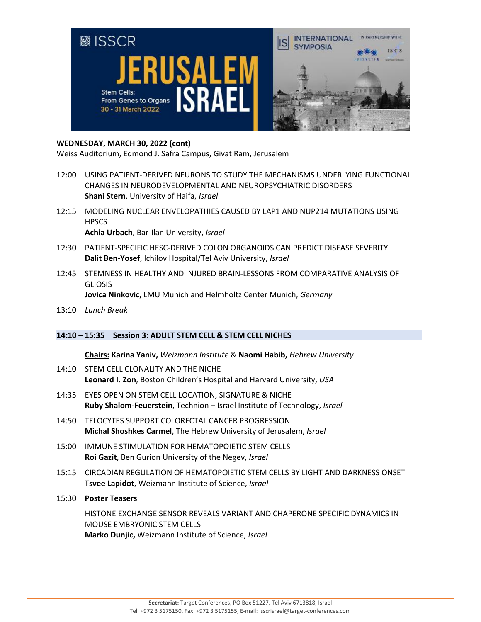

#### **WEDNESDAY, MARCH 30, 2022 (cont)**

Weiss Auditorium, Edmond J. Safra Campus, Givat Ram, Jerusalem

- 12:00 USING PATIENT-DERIVED NEURONS TO STUDY THE MECHANISMS UNDERLYING FUNCTIONAL CHANGES IN NEURODEVELOPMENTAL AND NEUROPSYCHIATRIC DISORDERS **Shani Stern**, University of Haifa, *Israel*
- 12:15 MODELING NUCLEAR ENVELOPATHIES CAUSED BY LAP1 AND NUP214 MUTATIONS USING **HPSCS Achia Urbach**, Bar-Ilan University, *Israel*
- 12:30 PATIENT-SPECIFIC HESC-DERIVED COLON ORGANOIDS CAN PREDICT DISEASE SEVERITY **Dalit Ben-Yosef**, Ichilov Hospital/Tel Aviv University, *Israel*
- 12:45 STEMNESS IN HEALTHY AND INJURED BRAIN-LESSONS FROM COMPARATIVE ANALYSIS OF **GLIOSIS Jovica Ninkovic**, LMU Munich and Helmholtz Center Munich, *Germany*
- 13:10 *Lunch Break*

#### **14:10 – 15:35 Session 3: ADULT STEM CELL & STEM CELL NICHES**

**Chairs: Karina Yaniv,** *Weizmann Institute* & **Naomi Habib,** *Hebrew University*

- 14:10 STEM CELL CLONALITY AND THE NICHE **Leonard I. Zon**, Boston Children's Hospital and Harvard University, *USA*
- 14:35 EYES OPEN ON STEM CELL LOCATION, SIGNATURE & NICHE **Ruby Shalom-Feuerstein**, Technion – Israel Institute of Technology, *Israel*
- 14:50 TELOCYTES SUPPORT COLORECTAL CANCER PROGRESSION **Michal Shoshkes Carmel**, The Hebrew University of Jerusalem, *Israel*
- 15:00 IMMUNE STIMULATION FOR HEMATOPOIETIC STEM CELLS **Roi Gazit**, Ben Gurion University of the Negev, *Israel*
- 15:15 CIRCADIAN REGULATION OF HEMATOPOIETIC STEM CELLS BY LIGHT AND DARKNESS ONSET **Tsvee Lapidot**, Weizmann Institute of Science, *Israel*
- 15:30 **Poster Teasers**

HISTONE EXCHANGE SENSOR REVEALS VARIANT AND CHAPERONE SPECIFIC DYNAMICS IN MOUSE EMBRYONIC STEM CELLS **Marko Dunjic,** Weizmann Institute of Science, *Israel*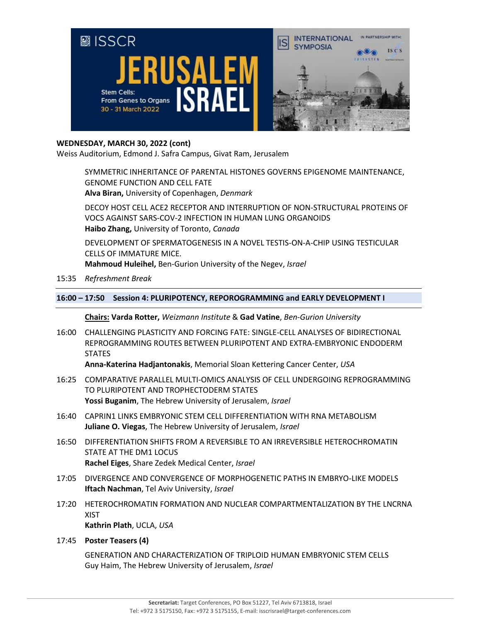

#### **WEDNESDAY, MARCH 30, 2022 (cont)**

Weiss Auditorium, Edmond J. Safra Campus, Givat Ram, Jerusalem

SYMMETRIC INHERITANCE OF PARENTAL HISTONES GOVERNS EPIGENOME MAINTENANCE, GENOME FUNCTION AND CELL FATE **Alva Biran,** University of Copenhagen, *Denmark*

DECOY HOST CELL ACE2 RECEPTOR AND INTERRUPTION OF NON-STRUCTURAL PROTEINS OF VOCS AGAINST SARS-COV-2 INFECTION IN HUMAN LUNG ORGANOIDS **Haibo Zhang,** University of Toronto, *Canada*

DEVELOPMENT OF SPERMATOGENESIS IN A NOVEL TESTIS-ON-A-CHIP USING TESTICULAR CELLS OF IMMATURE MICE.

**Mahmoud Huleihel,** Ben-Gurion University of the Negev, *Israel*

15:35 *Refreshment Break*

#### **16:00 – 17:50 Session 4: PLURIPOTENCY, REPOROGRAMMING and EARLY DEVELOPMENT I**

**Chairs: Varda Rotter,** *Weizmann Institute* & **Gad Vatine**, *Ben-Gurion University*

16:00 CHALLENGING PLASTICITY AND FORCING FATE: SINGLE-CELL ANALYSES OF BIDIRECTIONAL REPROGRAMMING ROUTES BETWEEN PLURIPOTENT AND EXTRA-EMBRYONIC ENDODERM **STATES** 

**Anna-Katerina Hadjantonakis**, Memorial Sloan Kettering Cancer Center, *USA*

- 16:25 COMPARATIVE PARALLEL MULTI-OMICS ANALYSIS OF CELL UNDERGOING REPROGRAMMING TO PLURIPOTENT AND TROPHECTODERM STATES **Yossi Buganim**, The Hebrew University of Jerusalem, *Israel*
- 16:40 CAPRIN1 LINKS EMBRYONIC STEM CELL DIFFERENTIATION WITH RNA METABOLISM **Juliane O. Viegas**, The Hebrew University of Jerusalem, *Israel*
- 16:50 DIFFERENTIATION SHIFTS FROM A REVERSIBLE TO AN IRREVERSIBLE HETEROCHROMATIN STATE AT THE DM1 LOCUS **Rachel Eiges**, Share Zedek Medical Center, *Israel*
- 17:05 DIVERGENCE AND CONVERGENCE OF MORPHOGENETIC PATHS IN EMBRYO-LIKE MODELS **Iftach Nachman**, Tel Aviv University, *Israel*
- 17:20 HETEROCHROMATIN FORMATION AND NUCLEAR COMPARTMENTALIZATION BY THE LNCRNA XIST

**Kathrin Plath**, UCLA, *USA*

#### 17:45 **Poster Teasers (4)**

GENERATION AND CHARACTERIZATION OF TRIPLOID HUMAN EMBRYONIC STEM CELLS Guy Haim, The Hebrew University of Jerusalem, *Israel*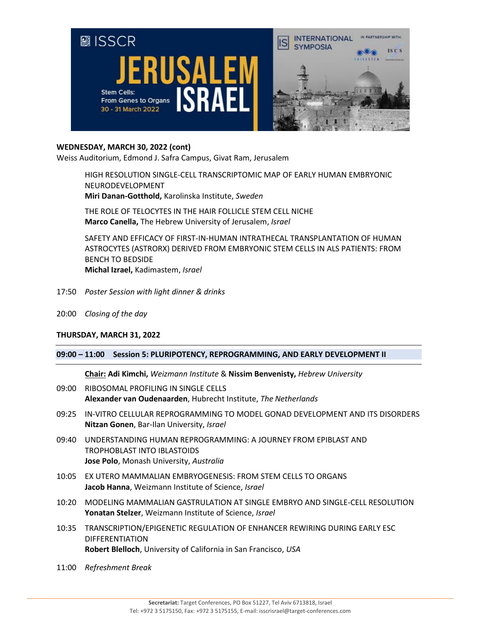

#### **WEDNESDAY, MARCH 30, 2022 (cont)**

Weiss Auditorium, Edmond J. Safra Campus, Givat Ram, Jerusalem

HIGH RESOLUTION SINGLE-CELL TRANSCRIPTOMIC MAP OF EARLY HUMAN EMBRYONIC NEURODEVELOPMENT **Miri Danan-Gotthold,** Karolinska Institute, *Sweden*

THE ROLE OF TELOCYTES IN THE HAIR FOLLICLE STEM CELL NICHE **Marco Canella,** The Hebrew University of Jerusalem, *Israel*

SAFETY AND EFFICACY OF FIRST-IN-HUMAN INTRATHECAL TRANSPLANTATION OF HUMAN ASTROCYTES (ASTRORX) DERIVED FROM EMBRYONIC STEM CELLS IN ALS PATIENTS: FROM BENCH TO BEDSIDE **Michal Izrael,** Kadimastem, *Israel*

- 17:50 *Poster Session with light dinner & drinks*
- 20:00 *Closing of the day*

#### **THURSDAY, MARCH 31, 2022**

#### **09:00 – 11:00 Session 5: PLURIPOTENCY, REPROGRAMMING, AND EARLY DEVELOPMENT II**

**Chair: Adi Kimchi,** *Weizmann Institute* & **Nissim Benvenisty,** *Hebrew University*

- 09:00 RIBOSOMAL PROFILING IN SINGLE CELLS **Alexander van Oudenaarden**, Hubrecht Institute, *The Netherlands*
- 09:25 IN-VITRO CELLULAR REPROGRAMMING TO MODEL GONAD DEVELOPMENT AND ITS DISORDERS **Nitzan Gonen**, Bar-Ilan University, *Israel*
- 09:40 UNDERSTANDING HUMAN REPROGRAMMING: A JOURNEY FROM EPIBLAST AND TROPHOBLAST INTO IBLASTOIDS **Jose Polo**, Monash University, *Australia*
- 10:05 EX UTERO MAMMALIAN EMBRYOGENESIS: FROM STEM CELLS TO ORGANS **Jacob Hanna**, Weizmann Institute of Science, *Israel*
- 10:20 MODELING MAMMALIAN GASTRULATION AT SINGLE EMBRYO AND SINGLE-CELL RESOLUTION **Yonatan Stelzer**, Weizmann Institute of Science, *Israel*
- 10:35 TRANSCRIPTION/EPIGENETIC REGULATION OF ENHANCER REWIRING DURING EARLY ESC DIFFERENTIATION **Robert Blelloch**, University of California in San Francisco, *USA*
- 11:00 *Refreshment Break*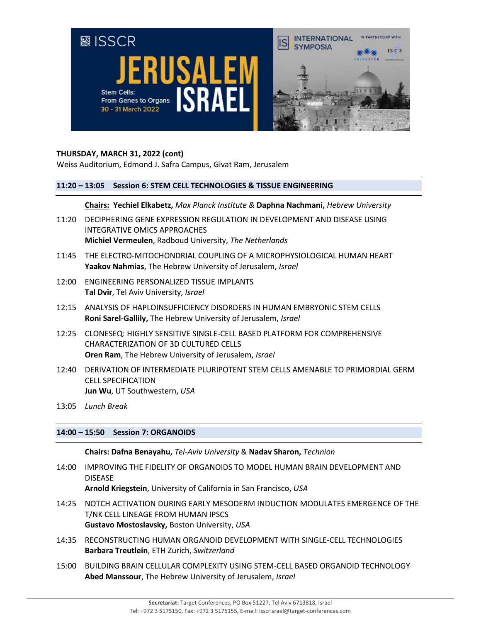

#### **THURSDAY, MARCH 31, 2022 (cont)**

Weiss Auditorium, Edmond J. Safra Campus, Givat Ram, Jerusalem

#### **11:20 – 13:05 Session 6: STEM CELL TECHNOLOGIES & TISSUE ENGINEERING**

**Chairs: Yechiel Elkabetz,** *Max Planck Institute &* **Daphna Nachmani,** *Hebrew University*

- 11:20 DECIPHERING GENE EXPRESSION REGULATION IN DEVELOPMENT AND DISEASE USING INTEGRATIVE OMICS APPROACHES **Michiel Vermeulen**, Radboud University, *The Netherlands*
- 11:45 THE ELECTRO-MITOCHONDRIAL COUPLING OF A MICROPHYSIOLOGICAL HUMAN HEART **Yaakov Nahmias**, The Hebrew University of Jerusalem, *Israel*
- 12:00 ENGINEERING PERSONALIZED TISSUE IMPLANTS **Tal Dvir**, Tel Aviv University, *Israel*
- 12:15 ANALYSIS OF HAPLOINSUFFICIENCY DISORDERS IN HUMAN EMBRYONIC STEM CELLS **Roni Sarel-Gallily,** The Hebrew University of Jerusalem, *Israel*
- 12:25 CLONESEQ: HIGHLY SENSITIVE SINGLE-CELL BASED PLATFORM FOR COMPREHENSIVE CHARACTERIZATION OF 3D CULTURED CELLS **Oren Ram**, The Hebrew University of Jerusalem, *Israel*
- 12:40 DERIVATION OF INTERMEDIATE PLURIPOTENT STEM CELLS AMENABLE TO PRIMORDIAL GERM CELL SPECIFICATION **Jun Wu**, UT Southwestern, *USA*
- 13:05 *Lunch Break*

#### **14:00 – 15:50 Session 7: ORGANOIDS**

**Chairs: Dafna Benayahu,** *Tel-Aviv University* & **Nadav Sharon,** *Technion*

14:00 IMPROVING THE FIDELITY OF ORGANOIDS TO MODEL HUMAN BRAIN DEVELOPMENT AND DISEASE

**Arnold Kriegstein**, University of California in San Francisco, *USA*

- 14:25 NOTCH ACTIVATION DURING EARLY MESODERM INDUCTION MODULATES EMERGENCE OF THE T/NK CELL LINEAGE FROM HUMAN IPSCS **Gustavo Mostoslavsky,** Boston University, *USA*
- 14:35 RECONSTRUCTING HUMAN ORGANOID DEVELOPMENT WITH SINGLE-CELL TECHNOLOGIES **Barbara Treutlein**, ETH Zurich, *Switzerland*
- 15:00 BUILDING BRAIN CELLULAR COMPLEXITY USING STEM-CELL BASED ORGANOID TECHNOLOGY **Abed Manssour**, The Hebrew University of Jerusalem, *Israel*